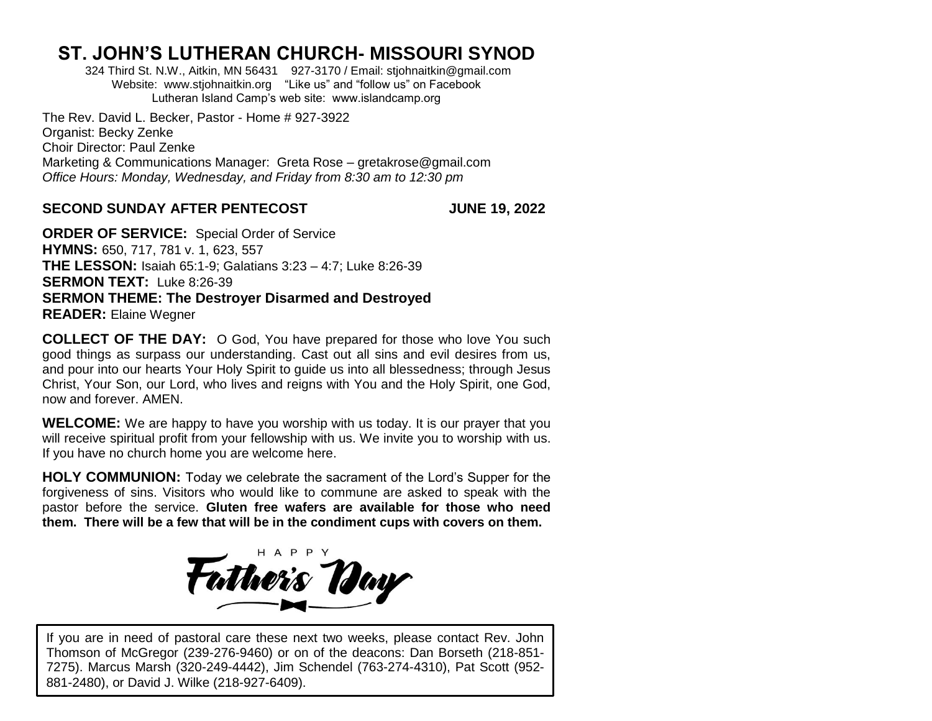## **ST. JOHN'S LUTHERAN CHURCH- MISSOURI SYNOD**

324 Third St. N.W., Aitkin, MN 56431927-3170 / Email: [stjohnaitkin@gmail.com](mailto:stjohnaitkin@gmail.com) Website: [www.stjohnaitkin.org](http://www.stjohnaitkin.org/) "Like us" and "follow us" on Facebook Lutheran Island Camp's web site: www.islandcamp.org

The Rev. David L. Becker, Pastor - Home # 927-3922 Organist: Becky Zenke Choir Director: Paul Zenke Marketing & Communications Manager: Greta Rose – gretakrose@gmail.com *Office Hours: Monday, Wednesday, and Friday from 8:30 am to 12:30 pm*

## **SECOND SUNDAY AFTER PENTECOST JUNE 19, 2022**

**ORDER OF SERVICE:** Special Order of Service **HYMNS:** 650, 717, 781 v. 1, 623, 557 **THE LESSON:** Isaiah 65:1-9; Galatians 3:23 – 4:7; Luke 8:26-39 **SERMON TEXT:** Luke 8:26-39 **SERMON THEME: The Destroyer Disarmed and Destroyed READER:** Elaine Wegner

**COLLECT OF THE DAY:** O God, You have prepared for those who love You such good things as surpass our understanding. Cast out all sins and evil desires from us, and pour into our hearts Your Holy Spirit to guide us into all blessedness; through Jesus Christ, Your Son, our Lord, who lives and reigns with You and the Holy Spirit, one God, now and forever. AMEN.

**WELCOME:** We are happy to have you worship with us today. It is our prayer that you will receive spiritual profit from your fellowship with us. We invite you to worship with us. If you have no church home you are welcome here.

**HOLY COMMUNION:** Today we celebrate the sacrament of the Lord's Supper for the forgiveness of sins. Visitors who would like to commune are asked to speak with the pastor before the service. **Gluten free wafers are available for those who need them. There will be a few that will be in the condiment cups with covers on them.**



If you are in need of pastoral care these next two weeks, please contact Rev. John Thomson of McGregor (239-276-9460) or on of the deacons: Dan Borseth (218-851- 7275). Marcus Marsh (320-249-4442), Jim Schendel (763-274-4310), Pat Scott (952- 881-2480), or David J. Wilke (218-927-6409).